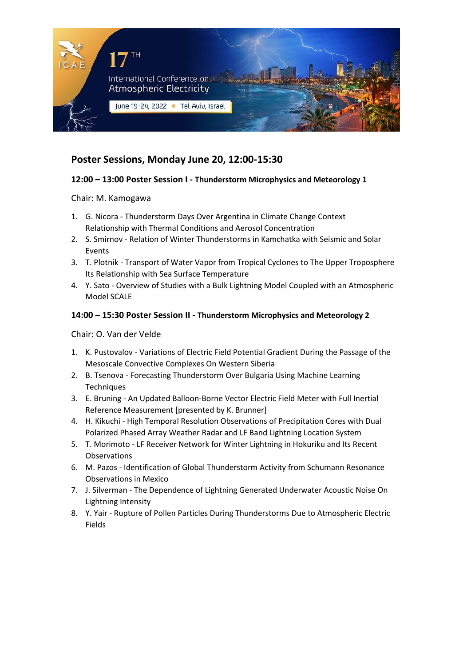

## **Poster Sessions, Monday June 20, 12:00-15:30**

### **12:00 – 13:00 Poster Session I - Thunderstorm Microphysics and Meteorology 1**

Chair: M. Kamogawa

- 1. G. Nicora Thunderstorm Days Over Argentina in Climate Change Context Relationship with Thermal Conditions and Aerosol Concentration
- 2. S. Smirnov Relation of Winter Thunderstorms in Kamchatka with Seismic and Solar Events
- 3. T. Plotnik Transport of Water Vapor from Tropical Cyclones to The Upper Troposphere Its Relationship with Sea Surface Temperature
- 4. Y. Sato Overview of Studies with a Bulk Lightning Model Coupled with an Atmospheric Model SCALE

#### **14:00 – 15:30 Poster Session II - Thunderstorm Microphysics and Meteorology 2**

Chair: O. Van der Velde

- 1. K. Pustovalov Variations of Electric Field Potential Gradient During the Passage of the Mesoscale Convective Complexes On Western Siberia
- 2. B. Tsenova Forecasting Thunderstorm Over Bulgaria Using Machine Learning **Techniques**
- 3. E. Bruning An Updated Balloon-Borne Vector Electric Field Meter with Full Inertial Reference Measurement [presented by K. Brunner]
- 4. H. Kikuchi High Temporal Resolution Observations of Precipitation Cores with Dual Polarized Phased Array Weather Radar and LF Band Lightning Location System
- 5. T. Morimoto LF Receiver Network for Winter Lightning in Hokuriku and Its Recent Observations
- 6. M. Pazos Identification of Global Thunderstorm Activity from Schumann Resonance Observations in Mexico
- 7. J. Silverman The Dependence of Lightning Generated Underwater Acoustic Noise On Lightning Intensity
- 8. Y. Yair Rupture of Pollen Particles During Thunderstorms Due to Atmospheric Electric Fields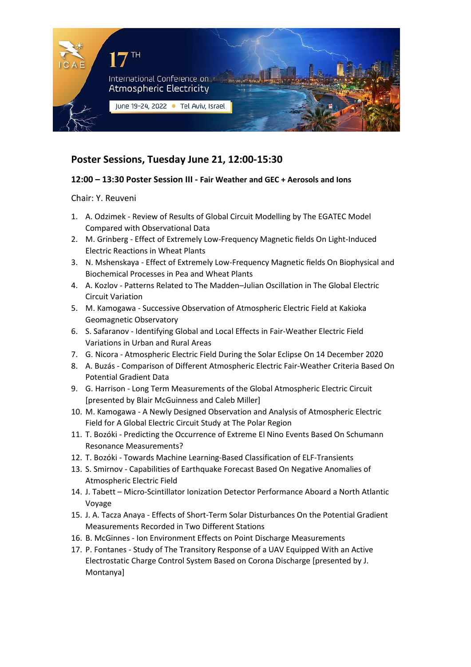

## **Poster Sessions, Tuesday June 21, 12:00-15:30**

### **12:00 – 13:30 Poster Session III - Fair Weather and GEC + Aerosols and Ions**

Chair: Y. Reuveni

- 1. A. Odzimek Review of Results of Global Circuit Modelling by The EGATEC Model Compared with Observational Data
- 2. M. Grinberg Effect of Extremely Low-Frequency Magnetic fields On Light-Induced Electric Reactions in Wheat Plants
- 3. N. Mshenskaya Effect of Extremely Low-Frequency Magnetic fields On Biophysical and Biochemical Processes in Pea and Wheat Plants
- 4. A. Kozlov Patterns Related to The Madden–Julian Oscillation in The Global Electric Circuit Variation
- 5. M. Kamogawa Successive Observation of Atmospheric Electric Field at Kakioka Geomagnetic Observatory
- 6. S. Safaranov Identifying Global and Local Effects in Fair-Weather Electric Field Variations in Urban and Rural Areas
- 7. G. Nicora Atmospheric Electric Field During the Solar Eclipse On 14 December 2020
- 8. A. Buzás Comparison of Different Atmospheric Electric Fair-Weather Criteria Based On Potential Gradient Data
- 9. G. Harrison Long Term Measurements of the Global Atmospheric Electric Circuit [presented by Blair McGuinness and Caleb Miller]
- 10. M. Kamogawa A Newly Designed Observation and Analysis of Atmospheric Electric Field for A Global Electric Circuit Study at The Polar Region
- 11. T. Bozóki Predicting the Occurrence of Extreme El Nino Events Based On Schumann Resonance Measurements?
- 12. T. Bozóki Towards Machine Learning-Based Classification of ELF-Transients
- 13. S. Smirnov Capabilities of Earthquake Forecast Based On Negative Anomalies of Atmospheric Electric Field
- 14. J. Tabett Micro-Scintillator Ionization Detector Performance Aboard a North Atlantic Voyage
- 15. J. A. Tacza Anaya Effects of Short-Term Solar Disturbances On the Potential Gradient Measurements Recorded in Two Different Stations
- 16. B. McGinnes Ion Environment Effects on Point Discharge Measurements
- 17. P. Fontanes Study of The Transitory Response of a UAV Equipped With an Active Electrostatic Charge Control System Based on Corona Discharge [presented by J. Montanya]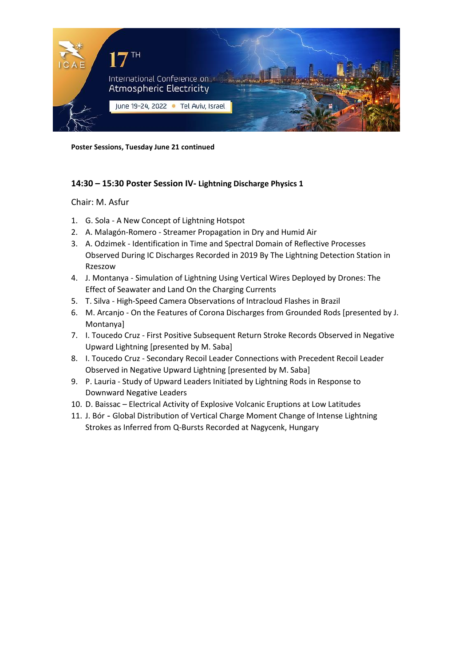

**Poster Sessions, Tuesday June 21 continued**

### **14:30 – 15:30 Poster Session IV- Lightning Discharge Physics 1**

#### Chair: M. Asfur

- 1. G. Sola A New Concept of Lightning Hotspot
- 2. A. Malagón-Romero Streamer Propagation in Dry and Humid Air
- 3. A. Odzimek Identification in Time and Spectral Domain of Reflective Processes Observed During IC Discharges Recorded in 2019 By The Lightning Detection Station in Rzeszow
- 4. J. Montanya Simulation of Lightning Using Vertical Wires Deployed by Drones: The Effect of Seawater and Land On the Charging Currents
- 5. T. Silva High-Speed Camera Observations of Intracloud Flashes in Brazil
- 6. M. Arcanjo On the Features of Corona Discharges from Grounded Rods [presented by J. Montanya]
- 7. I. Toucedo Cruz First Positive Subsequent Return Stroke Records Observed in Negative Upward Lightning [presented by M. Saba]
- 8. I. Toucedo Cruz Secondary Recoil Leader Connections with Precedent Recoil Leader Observed in Negative Upward Lightning [presented by M. Saba]
- 9. P. Lauria Study of Upward Leaders Initiated by Lightning Rods in Response to Downward Negative Leaders
- 10. D. Baissac Electrical Activity of Explosive Volcanic Eruptions at Low Latitudes
- 11. J. Bór Global Distribution of Vertical Charge Moment Change of Intense Lightning Strokes as Inferred from Q-Bursts Recorded at Nagycenk, Hungary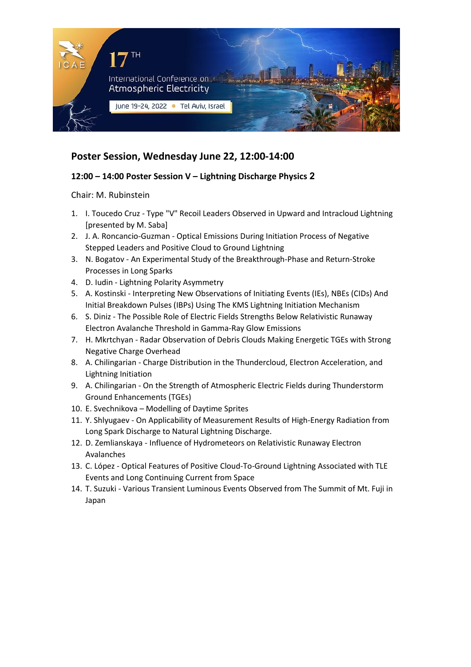

# **Poster Session, Wednesday June 22, 12:00-14:00**

### **12:00 – 14:00 Poster Session V – Lightning Discharge Physics 2**

Chair: M. Rubinstein

- 1. I. Toucedo Cruz Type "V" Recoil Leaders Observed in Upward and Intracloud Lightning [presented by M. Saba]
- 2. J. A. Roncancio-Guzman Optical Emissions During Initiation Process of Negative Stepped Leaders and Positive Cloud to Ground Lightning
- 3. N. Bogatov An Experimental Study of the Breakthrough-Phase and Return-Stroke Processes in Long Sparks
- 4. D. Iudin Lightning Polarity Asymmetry
- 5. A. Kostinski Interpreting New Observations of Initiating Events (IEs), NBEs (CIDs) And Initial Breakdown Pulses (IBPs) Using The KMS Lightning Initiation Mechanism
- 6. S. Diniz The Possible Role of Electric Fields Strengths Below Relativistic Runaway Electron Avalanche Threshold in Gamma-Ray Glow Emissions
- 7. H. Mkrtchyan Radar Observation of Debris Clouds Making Energetic TGEs with Strong Negative Charge Overhead
- 8. A. Chilingarian Charge Distribution in the Thundercloud, Electron Acceleration, and Lightning Initiation
- 9. A. Chilingarian On the Strength of Atmospheric Electric Fields during Thunderstorm Ground Enhancements (TGEs)
- 10. E. Svechnikova Modelling of Daytime Sprites
- 11. Y. Shlyugaev On Applicability of Measurement Results of High-Energy Radiation from Long Spark Discharge to Natural Lightning Discharge.
- 12. D. Zemlianskaya Influence of Hydrometeors on Relativistic Runaway Electron Avalanches
- 13. C. López Optical Features of Positive Cloud-To-Ground Lightning Associated with TLE Events and Long Continuing Current from Space
- 14. T. Suzuki Various Transient Luminous Events Observed from The Summit of Mt. Fuji in Japan